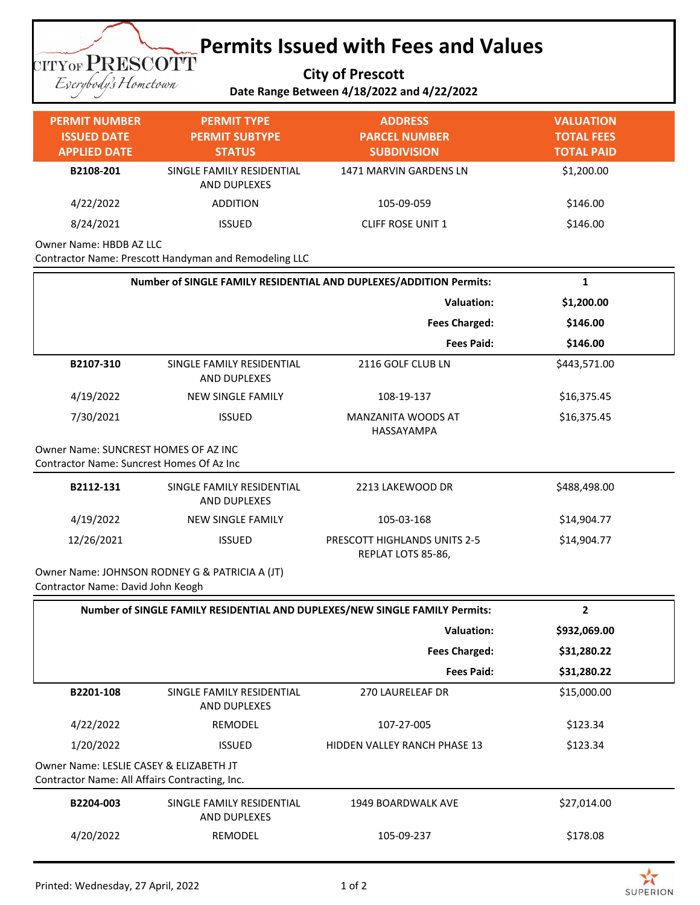## **Permits Issued with Fees and Values TITYOF PRESCOTT**

**City of Prescott**

Eserybody's Hometown

| - - - - |                                            |  |
|---------|--------------------------------------------|--|
|         | Date Range Between 4/18/2022 and 4/22/2022 |  |

| <b>PERMIT NUMBER</b><br><b>ISSUED DATE</b>                                                | <b>PERMIT TYPE</b><br><b>PERMIT SUBTYPE</b>                                        | <b>ADDRESS</b><br><b>PARCEL NUMBER</b>             | <b>VALUATION</b><br><b>TOTAL FEES</b> |  |  |
|-------------------------------------------------------------------------------------------|------------------------------------------------------------------------------------|----------------------------------------------------|---------------------------------------|--|--|
| <b>APPLIED DATE</b>                                                                       | <b>STATUS</b>                                                                      | <b>SUBDIVISION</b>                                 | <b>TOTAL PAID</b>                     |  |  |
| B2108-201                                                                                 | SINGLE FAMILY RESIDENTIAL<br>AND DUPLEXES                                          | <b>1471 MARVIN GARDENS LN</b>                      | \$1,200.00                            |  |  |
| 4/22/2022                                                                                 | <b>ADDITION</b>                                                                    | 105-09-059                                         | \$146.00                              |  |  |
| 8/24/2021                                                                                 | <b>ISSUED</b>                                                                      | CLIFF ROSE UNIT 1                                  | \$146.00                              |  |  |
| Owner Name: HBDB AZ LLC                                                                   | Contractor Name: Prescott Handyman and Remodeling LLC                              |                                                    |                                       |  |  |
|                                                                                           | Number of SINGLE FAMILY RESIDENTIAL AND DUPLEXES/ADDITION Permits:<br>$\mathbf{1}$ |                                                    |                                       |  |  |
|                                                                                           |                                                                                    | <b>Valuation:</b>                                  | \$1,200.00                            |  |  |
|                                                                                           |                                                                                    | <b>Fees Charged:</b>                               | \$146.00                              |  |  |
|                                                                                           |                                                                                    | <b>Fees Paid:</b>                                  | \$146.00                              |  |  |
| B2107-310                                                                                 | SINGLE FAMILY RESIDENTIAL<br><b>AND DUPLEXES</b>                                   | 2116 GOLF CLUB LN                                  | \$443,571.00                          |  |  |
| 4/19/2022                                                                                 | <b>NEW SINGLE FAMILY</b>                                                           | 108-19-137                                         | \$16,375.45                           |  |  |
| 7/30/2021                                                                                 | <b>ISSUED</b>                                                                      | MANZANITA WOODS AT<br>HASSAYAMPA                   | \$16,375.45                           |  |  |
| Owner Name: SUNCREST HOMES OF AZ INC<br>Contractor Name: Suncrest Homes Of Az Inc         |                                                                                    |                                                    |                                       |  |  |
| B2112-131                                                                                 | SINGLE FAMILY RESIDENTIAL<br>AND DUPLEXES                                          | 2213 LAKEWOOD DR                                   | \$488,498.00                          |  |  |
| 4/19/2022                                                                                 | <b>NEW SINGLE FAMILY</b>                                                           | 105-03-168                                         | \$14,904.77                           |  |  |
| 12/26/2021                                                                                | <b>ISSUED</b>                                                                      | PRESCOTT HIGHLANDS UNITS 2-5<br>REPLAT LOTS 85-86, | \$14,904.77                           |  |  |
| Contractor Name: David John Keogh                                                         | Owner Name: JOHNSON RODNEY G & PATRICIA A (JT)                                     |                                                    |                                       |  |  |
| Number of SINGLE FAMILY RESIDENTIAL AND DUPLEXES/NEW SINGLE FAMILY Permits:<br>2          |                                                                                    |                                                    |                                       |  |  |
|                                                                                           |                                                                                    | <b>Valuation:</b>                                  | \$932,069.00                          |  |  |
|                                                                                           |                                                                                    | <b>Fees Charged:</b>                               | \$31,280.22                           |  |  |
|                                                                                           |                                                                                    | <b>Fees Paid:</b>                                  | \$31,280.22                           |  |  |
| B2201-108                                                                                 | SINGLE FAMILY RESIDENTIAL<br>AND DUPLEXES                                          | <b>270 LAURELEAF DR</b>                            | \$15,000.00                           |  |  |
| 4/22/2022                                                                                 | REMODEL                                                                            | 107-27-005                                         | \$123.34                              |  |  |
| 1/20/2022                                                                                 | <b>ISSUED</b>                                                                      | HIDDEN VALLEY RANCH PHASE 13                       | \$123.34                              |  |  |
| Owner Name: LESLIE CASEY & ELIZABETH JT<br>Contractor Name: All Affairs Contracting, Inc. |                                                                                    |                                                    |                                       |  |  |
| B2204-003                                                                                 | SINGLE FAMILY RESIDENTIAL<br>AND DUPLEXES                                          | 1949 BOARDWALK AVE                                 | \$27,014.00                           |  |  |
| 4/20/2022                                                                                 | REMODEL                                                                            | 105-09-237                                         | \$178.08                              |  |  |